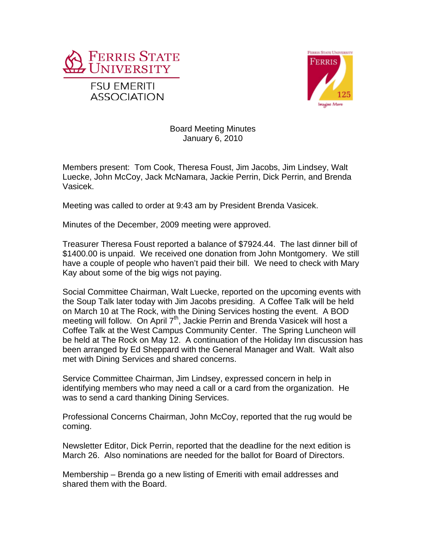



## Board Meeting Minutes January 6, 2010

Members present: Tom Cook, Theresa Foust, Jim Jacobs, Jim Lindsey, Walt Luecke, John McCoy, Jack McNamara, Jackie Perrin, Dick Perrin, and Brenda Vasicek.

Meeting was called to order at 9:43 am by President Brenda Vasicek.

Minutes of the December, 2009 meeting were approved.

Treasurer Theresa Foust reported a balance of \$7924.44. The last dinner bill of \$1400.00 is unpaid. We received one donation from John Montgomery. We still have a couple of people who haven't paid their bill. We need to check with Mary Kay about some of the big wigs not paying.

Social Committee Chairman, Walt Luecke, reported on the upcoming events with the Soup Talk later today with Jim Jacobs presiding. A Coffee Talk will be held on March 10 at The Rock, with the Dining Services hosting the event. A BOD meeting will follow. On April  $7<sup>th</sup>$ , Jackie Perrin and Brenda Vasicek will host a Coffee Talk at the West Campus Community Center. The Spring Luncheon will be held at The Rock on May 12. A continuation of the Holiday Inn discussion has been arranged by Ed Sheppard with the General Manager and Walt. Walt also met with Dining Services and shared concerns.

Service Committee Chairman, Jim Lindsey, expressed concern in help in identifying members who may need a call or a card from the organization. He was to send a card thanking Dining Services.

Professional Concerns Chairman, John McCoy, reported that the rug would be coming.

Newsletter Editor, Dick Perrin, reported that the deadline for the next edition is March 26. Also nominations are needed for the ballot for Board of Directors.

Membership – Brenda go a new listing of Emeriti with email addresses and shared them with the Board.